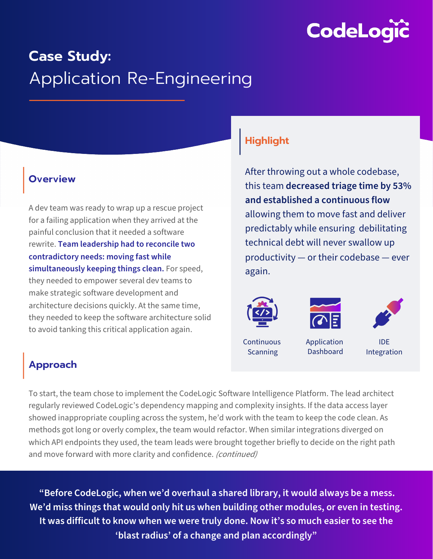

# **Case Study:**  Application Re-Engineering

### **Overview**

A dev team was ready to wrap up a rescue project for a failing application when they arrived at the painful conclusion that it needed a software rewrite. **Team leadership had to reconcile two contradictory needs: moving fast while simultaneously keeping things clean.** For speed, they needed to empower several dev teams to make strategic software development and architecture decisions quickly. At the same time, they needed to keep the software architecture solid to avoid tanking this critical application again.

# **Highlight**

After throwing out a whole codebase, this team **decreased triage time by 53% and established a continuous flow**  allowing them to move fast and deliver predictably while ensuring debilitating technical debt will never swallow up productivity — or their codebase — ever again.







**Continuous Scanning** 

Application

Dashboard

IDE Integration

## **Approach**

To start, the team chose to implement the CodeLogic Software Intelligence Platform. The lead architect regularly reviewed CodeLogic's dependency mapping and complexity insights. If the data access layer showed inappropriate coupling across the system, he'd work with the team to keep the code clean. As methods got long or overly complex, the team would refactor. When similar integrations diverged on which API endpoints they used, the team leads were brought together briefly to decide on the right path and move forward with more clarity and confidence. (continued)

**"Before CodeLogic, when we'd overhaul a shared library, it would always be a mess. We'd miss things that would only hit us when building other modules, or even in testing. It was difficult to know when we were truly done. Now it's so much easier to see the 'blast radius' of a change and plan accordingly"**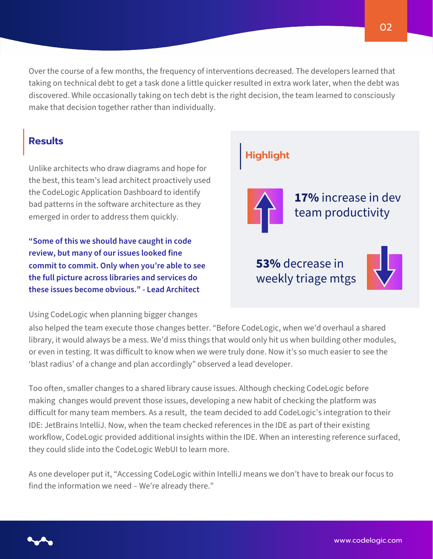Over the course of a few months, the frequency of interventions decreased. The developers learned that taking on technical debt to get a task done a little quicker resulted in extra work later, when the debt was discovered. While occasionally taking on tech debt is the right decision, the team learned to consciously make that decision together rather than individually.

### **Results**

Unlike architects who draw diagrams and hope for the best, this team's lead architect proactively used the CodeLogic Application Dashboard to identify bad patterns in the software architecture as they emerged in order to address them quickly.

**"Some of this we should have caught in code review, but many of our issues looked fine commit to commit. Only when you're able to see the full picture across libraries and services do these issues become obvious." - Lead Architect**

Using CodeLogic when planning bigger changes

# **17%** increase in dev team productivity **53%** decrease in **Highlight**

weekly triage mtgs



also helped the team execute those changes better. "Before CodeLogic, when we'd overhaul a shared library, it would always be a mess. We'd miss things that would only hit us when building other modules, or even in testing. It was difficult to know when we were truly done. Now it's so much easier to see the 'blast radius' of a change and plan accordingly" observed a lead developer.

Too often, smaller changes to a shared library cause issues. Although checking CodeLogic before making changes would prevent those issues, developing a new habit of checking the platform was difficult for many team members. As a result, the team decided to add CodeLogic's integration to their IDE: JetBrains IntelliJ. Now, when the team checked references in the IDE as part of their existing workflow, CodeLogic provided additional insights within the IDE. When an interesting reference surfaced, they could slide into the CodeLogic WebUI to learn more.

As one developer put it, "Accessing CodeLogic within IntelliJ means we don't have to break our focus to find the information we need – We're already there."